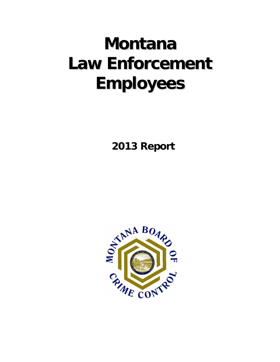# **Montana LawEnforcement Employees**

 **2013 Report**

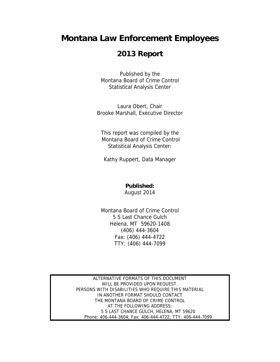# **Montana Law Enforcement Employees**

# **2013 Report**

Published by the Montana Board of Crime Control Statistical Analysis Center

Laura Obert, Chair Brooke Marshall, Executive Director

This report was compiled by the Montana Board of Crime Control Statistical Analysis Center:

Kathy Ruppert, Data Manager

## **Published:**

August 2014

Montana Board of Crime Control 5 S Last Chance Gulch Helena, MT 59620-1408 (406) 444-3604 Fax: (406) 444-4722 TTY: (406) 444-7099

ALTERNATIVE FORMATS OF THIS DOCUMENT WILL BE PROVIDED UPON REQUEST. PERSONS WITH DISABILITIES WHO REQUIRE THIS MATERIAL IN ANOTHER FORMAT SHOULD CONTACT THE MONTANA BOARD OF CRIME CONTROL AT THE FOLLOWING ADDRESS: 5 S LAST CHANCE GULCH, HELENA, MT 59620 Phone: 406-444-3604; Fax: 406-444-4722; TTY: 406-444-7099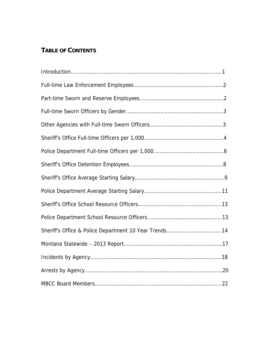# **TABLE OF CONTENTS**

| Sheriff's Office & Police Department 10 Year Trends14 |
|-------------------------------------------------------|
|                                                       |
|                                                       |
|                                                       |
|                                                       |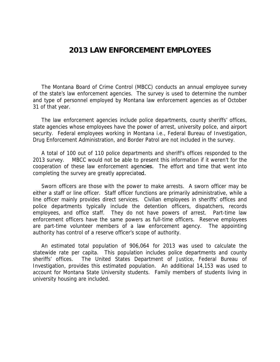# **2013 LAW ENFORCEMENT EMPLOYEES**

 The Montana Board of Crime Control (MBCC) conducts an annual employee survey of the state's law enforcement agencies. The survey is used to determine the number and type of personnel employed by Montana law enforcement agencies as of October 31 of that year.

 The law enforcement agencies include police departments, county sheriffs' offices, state agencies whose employees have the power of arrest, university police, and airport security. Federal employees working in Montana i.e., Federal Bureau of Investigation, Drug Enforcement Administration, and Border Patrol are not included in the survey.

 A total of 100 out of 110 police departments and sheriff's offices responded to the 2013 survey. MBCC would not be able to present this information if it weren't for the cooperation of these law enforcement agencies. The effort and time that went into completing the survey are greatly appreciated.

 Sworn officers are those with the power to make arrests. A sworn officer may be either a staff or line officer. Staff officer functions are primarily administrative, while a line officer mainly provides direct services. Civilian employees in sheriffs' offices and police departments typically include the detention officers, dispatchers, records employees, and office staff. They do not have powers of arrest. Part-time law enforcement officers have the same powers as full-time officers. Reserve employees are part-time volunteer members of a law enforcement agency. The appointing authority has control of a reserve officer's scope of authority.

 An estimated total population of 906,064 for 2013 was used to calculate the statewide rate per capita. This population includes police departments and county sheriffs' offices. The United States Department of Justice, Federal Bureau of Investigation, provides this estimated population. An additional 14,153 was used to account for Montana State University students. Family members of students living in university housing are included.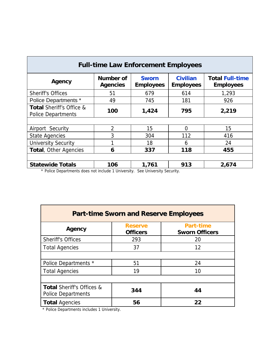| <b>Full-time Law Enforcement Employees</b>                       |                                     |                                  |                                     |                                            |  |  |  |
|------------------------------------------------------------------|-------------------------------------|----------------------------------|-------------------------------------|--------------------------------------------|--|--|--|
| Agency                                                           | <b>Number of</b><br><b>Agencies</b> | <b>Sworn</b><br><b>Employees</b> | <b>Civilian</b><br><b>Employees</b> | <b>Total Full-time</b><br><b>Employees</b> |  |  |  |
| <b>Sheriff's Offices</b>                                         | 51                                  | 679                              | 614                                 | 1,293                                      |  |  |  |
| <b>Police Departments *</b>                                      | 49                                  | 745                              | 181                                 | 926                                        |  |  |  |
| <b>Total Sheriff's Office &amp;</b><br><b>Police Departments</b> | 100                                 | 1,424                            | 795                                 | 2,219                                      |  |  |  |
|                                                                  |                                     |                                  |                                     |                                            |  |  |  |
| Airport Security                                                 | $\overline{2}$                      | 15                               | 0                                   | 15                                         |  |  |  |
| <b>State Agencies</b>                                            | 3                                   | 304                              | 112                                 | 416                                        |  |  |  |
| <b>University Security</b>                                       | 1                                   | 18                               | 6                                   | 24                                         |  |  |  |
| Total, Other Agencies                                            | 6                                   | 337                              | 118                                 | 455                                        |  |  |  |
|                                                                  |                                     |                                  |                                     |                                            |  |  |  |
| <b>Statewide Totals</b>                                          | 106                                 | 1,761                            | 913                                 | 2,674                                      |  |  |  |

\* Police Departments does not include 1 University. See University Security.

| <b>Part-time Sworn and Reserve Employees</b>                      |                                   |                                           |  |  |  |
|-------------------------------------------------------------------|-----------------------------------|-------------------------------------------|--|--|--|
| Agency                                                            | <b>Reserve</b><br><b>Officers</b> | <b>Part-time</b><br><b>Sworn Officers</b> |  |  |  |
| <b>Sheriff's Offices</b>                                          | 293                               | 20                                        |  |  |  |
| <b>Total Agencies</b>                                             | 37                                | 12                                        |  |  |  |
|                                                                   |                                   |                                           |  |  |  |
| Police Departments *                                              | 51                                | 24                                        |  |  |  |
| <b>Total Agencies</b>                                             | 19                                | 10                                        |  |  |  |
|                                                                   |                                   |                                           |  |  |  |
| <b>Total Sheriff's Offices &amp;</b><br><b>Police Departments</b> | 344                               | 44                                        |  |  |  |
| <b>Total Agencies</b>                                             | 56                                | 22                                        |  |  |  |

\* Police Departments includes 1 University.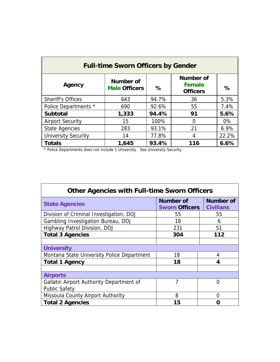| <b>Full-time Sworn Officers by Gender</b> |                                   |       |                                                      |       |  |  |  |  |
|-------------------------------------------|-----------------------------------|-------|------------------------------------------------------|-------|--|--|--|--|
| Agency                                    | Number of<br><b>Male Officers</b> | ℅     | <b>Number of</b><br><b>Female</b><br><b>Officers</b> | $\%$  |  |  |  |  |
| <b>Sheriff's Offices</b>                  | 643                               | 94.7% | 36                                                   | 5.3%  |  |  |  |  |
| Police Departments *                      | 690                               | 92.6% | 55                                                   | 7.4%  |  |  |  |  |
| <b>Subtotal</b>                           | 1,333                             | 94.4% | 91                                                   | 5.6%  |  |  |  |  |
| <b>Airport Security</b>                   | 15                                | 100%  | 0                                                    | $0\%$ |  |  |  |  |
| <b>State Agencies</b>                     | 283                               | 93.1% | 21                                                   | 6.9%  |  |  |  |  |
| <b>University Security</b>                | 14                                | 77.8% | 4                                                    | 22.2% |  |  |  |  |
| <b>Totals</b>                             | 1,645                             | 93.4% | 116                                                  | 6.6%  |  |  |  |  |

\* Police Departments does not include 1 University. See University Security.

| <b>Other Agencies with Full-time Sworn Officers</b> |                                    |                                      |  |  |  |  |
|-----------------------------------------------------|------------------------------------|--------------------------------------|--|--|--|--|
| <b>State Agencies</b>                               | Number of<br><b>Sworn Officers</b> | <b>Number of</b><br><b>Civilians</b> |  |  |  |  |
| Division of Criminal Investigation, DOJ             | 55                                 | 55                                   |  |  |  |  |
| Gambling Investigation Bureau, DOJ                  | 18                                 | 6                                    |  |  |  |  |
| Highway Patrol Division, DOJ                        | 231                                | 51                                   |  |  |  |  |
| <b>Total 3 Agencies</b>                             | 304                                | 112                                  |  |  |  |  |
|                                                     |                                    |                                      |  |  |  |  |
| <b>University</b>                                   |                                    |                                      |  |  |  |  |
| Montana State University Police Department          | 18                                 | 4                                    |  |  |  |  |
| <b>Total 1 Agency</b>                               | 18                                 | 4                                    |  |  |  |  |
|                                                     |                                    |                                      |  |  |  |  |
| <b>Airports</b>                                     |                                    |                                      |  |  |  |  |
| Gallatin Airport Authority Department of            | 7                                  | O                                    |  |  |  |  |
| <b>Public Safety</b>                                |                                    |                                      |  |  |  |  |
| Missoula County Airport Authority                   | 8                                  | O                                    |  |  |  |  |
| <b>Total 2 Agencies</b>                             | 15                                 | 0                                    |  |  |  |  |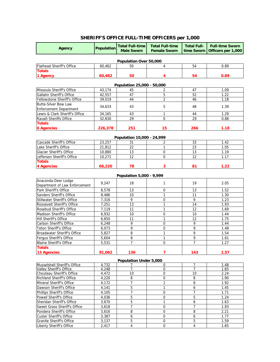# **SHERIFF'S OFFICE FULL-TIME OFFICERS per 1,000**

| Agency                                                   | <b>Population</b> | <b>Total Full-time</b><br><b>Male Sworn</b> | <b>Total Full-time</b><br><b>Female Sworn</b> | <b>Total Full-</b><br>time Sworn | <b>Full-time Sworn</b><br>Officers per 1,000 |
|----------------------------------------------------------|-------------------|---------------------------------------------|-----------------------------------------------|----------------------------------|----------------------------------------------|
|                                                          |                   | Population Over 50,000                      |                                               |                                  |                                              |
| Flathead Sheriff's Office                                | 60,462            | 50                                          | $\overline{4}$                                | 54                               | 0.89                                         |
| <b>Totals</b>                                            |                   |                                             |                                               |                                  |                                              |
| 1 Agency                                                 | 60,462            | 50                                          | 4                                             | 54                               | 0.89                                         |
|                                                          |                   | Population 25,000 - 50,000                  |                                               |                                  |                                              |
| Missoula Sheriff's Office                                | 43,174            | 45                                          | 2                                             | 47                               | 1.09                                         |
| Gallatin Sheriff's Office                                | 42,557            | 47                                          | 5                                             | 52                               | 1.22                                         |
| Yellowstone Sheriff's Office                             | 39,019            | 44                                          | 2                                             | 46                               | 1.18                                         |
| <b>Butte-Silver Bow Law</b>                              |                   |                                             |                                               |                                  |                                              |
| <b>Enforcement Department</b>                            | 34,633            | 43                                          | 5                                             | 48                               | 1.39                                         |
| Lewis & Clark Sheriff's Office                           | 34,165            | 43                                          | $\mathbf{1}$                                  | 44                               | 1.29                                         |
| Ravalli Sheriffs Office                                  | 32,830            | 29                                          | 0                                             | 29                               | 0.88                                         |
| <b>Totals</b>                                            |                   |                                             |                                               |                                  |                                              |
| <b>6 Agencies</b>                                        | 226,378           | 251                                         | 15                                            | 266                              | 1.18                                         |
|                                                          |                   |                                             |                                               |                                  |                                              |
| Cascade Sheriff's Office                                 | 23,257            | Population 10,000 - 24,999<br>31            | 2                                             | 33                               | 1.42                                         |
|                                                          |                   | 22                                          | 1                                             | 23                               | 1.05                                         |
| Lake Sheriff's Office<br><b>Glacier Sheriff's Office</b> | 21,812            | 13                                          | $\mathbf 0$                                   | 13                               | 1.19                                         |
| Jefferson Sheriff's Office                               | 10,880<br>10,271  | 12                                          | 0                                             | 12                               | 1.17                                         |
| <b>Totals</b>                                            |                   |                                             |                                               |                                  |                                              |
| 4 Agencies                                               | 66,220            | 78                                          | 3                                             | 81                               | 1.22                                         |
|                                                          |                   |                                             |                                               |                                  |                                              |
|                                                          |                   | Population 5,000 - 9,999                    |                                               |                                  |                                              |
| Anaconda-Deer Lodge                                      | 9,247             | 18                                          | $\mathbf{1}$                                  | 19                               | 2.05                                         |
| Department of Law Enforcement                            |                   |                                             |                                               |                                  |                                              |
| Park Sheriff's Office<br>Sanders Sheriff's Office        | 8,578             | 13<br>10                                    | 0<br>1                                        | 13<br>11                         | 1.52<br>1.30                                 |
| Stillwater Sheriff's Office                              | 8,486<br>7,316    | 9                                           | $\boldsymbol{0}$                              | 9                                | 1.23                                         |
| Roosevelt Sheriff's Office                               | 7,251             | 13                                          | $\mathbf{1}$                                  | $\overline{14}$                  | 1.93                                         |
| Rosebud Sheriff's Office                                 | 7,119             | 11                                          | 1                                             | 12                               | 1.69                                         |
| Madison Sheriff's Office                                 | 6,932             | 10                                          | 0                                             | 10                               | 1.44                                         |
| Hill Sheriff's Office                                    | 6,850             | 11                                          | 1                                             | 12                               | 1.75                                         |
| Carbon Sheriff's Office                                  | 6,248             | 9                                           | $\mathbf 0$                                   | 9                                | 1.44                                         |
| <b>Teton Sheriff's Office</b>                            | 6,073             | 9                                           | 0                                             | 9                                | 1.48                                         |
| Broadwater Sheriff's Office                              | 5,827             | 8                                           | 1                                             | 9                                | 1.54                                         |
| Fergus Sheriff's Office                                  | 5,604             | 8                                           | 1                                             | $\overline{9}$                   | 1.61                                         |
| <b>Blaine Sheriff's Office</b>                           | 5,531             | $\overline{7}$                              | $\overline{0}$                                | 7                                | 1.27                                         |
| <b>Totals</b>                                            |                   |                                             |                                               |                                  |                                              |
| <b>13 Agencies</b>                                       | 91,062            | 136                                         | 7                                             | 143                              | 1.57                                         |
|                                                          |                   | <b>Population Under 5,000</b>               |                                               |                                  |                                              |
| Musselshell Sheriff's Office                             | 4,732             |                                             | $\Omega$                                      | 7                                | 1.48                                         |
| Valley Sheriff's Office                                  | 4,248             | 7                                           | 0                                             | 7                                | 1.65                                         |
| Chouteau Sheriff's Office                                | 4,472             | 10                                          | 0                                             | 10                               | 2.24                                         |
| Richland Sheriff's Office                                | 4,220             | 8                                           | $\boldsymbol{0}$                              | 8                                | 1.90                                         |
| Mineral Sheriff's Office                                 | 4,172             | 7                                           | 1                                             | 8                                | 1.92                                         |
| Dawson Sheriff's Office                                  | 4,141             | 5                                           | 1                                             | 6                                | 1.45                                         |
| Phillips Sheriff's Office                                | 4,105             | $\overline{7}$                              | $\overline{0}$                                | $\overline{7}$                   | 1.71                                         |
| Powell Sheriff's Office                                  | 4,036             | 5                                           | $\boldsymbol{0}$                              | 5                                | 1.24                                         |
| Sheridan Sheriff's Office                                | 3,670             | 5                                           | $\mathbf{1}$                                  | 6                                | 1.63                                         |
| Sweet Grass Sheriff's Office                             | 3,618             | 7                                           | $\boldsymbol{0}$                              | $\overline{7}$                   | 1.93                                         |
| Pondera Sheriff's Office                                 | 3,616             | 8                                           | $\overline{0}$                                | 8                                | 2.21                                         |
| <b>Custer Sheriff's Office</b>                           | 3,387             | 6                                           | $\boldsymbol{0}$                              | 6                                | 1.77                                         |
| <b>Granite Sheriff's Office</b>                          | 3,137             | 5                                           | $\boldsymbol{0}$                              | 5                                | 1.59                                         |
| Liberty Sheriff's Office                                 | 2,417             | 4                                           | 0                                             | $\overline{4}$                   | 1.65                                         |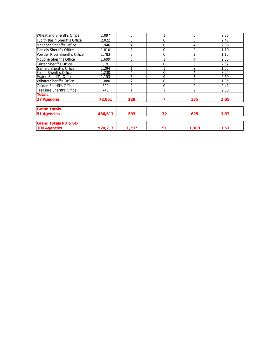| Wheatland Sheriff's Office      | 2,097   | 5              |    | 6              | 2.86 |
|---------------------------------|---------|----------------|----|----------------|------|
| Judith Basin Sheriff's Office   | 2,022   | 5              | 0  | 5              | 2.47 |
| Meagher Sheriff's Office        | 1,946   | 4              | 0  | 4              | 2.06 |
| Daniels Sheriff's Office        | 1,810   | $\overline{2}$ | 0  | $\overline{2}$ | 1.10 |
| Powder River Sheriff's Office   | 1,783   | $\overline{2}$ | 0  | $\overline{2}$ | 1.12 |
| McCone Sheriff's Office         | 1.699   | 3              |    | 4              | 2.35 |
| Carter Sheriff's Office         | 1.191   | 3              | 0  | 3              | 2.52 |
| Garfield Sheriff's Office       | .294    |                |    | $\overline{2}$ | 1.55 |
| Fallon Sheriff's Office         | 1,230   | 4              | 0  | 4              | 3.25 |
| Prairie Sheriff's Office        | 1.153   | 3              | 0  | 3              | 2.60 |
| <b>Wibaux Sheriff's Office</b>  | 1.080   | $\overline{2}$ | 0  | $\overline{2}$ | 1.85 |
| Golden Sheriff's Office         | 829     | 2              | 0  | $\overline{2}$ | 2.41 |
| Treasure Sheriff's Office       | 746     | 1              | 1  | $\overline{2}$ | 2.68 |
| <b>Totals</b>                   |         |                |    |                |      |
| 27 Agencies                     | 72.851  | 128            |    | 135            | 1.85 |
|                                 |         |                |    |                |      |
| <b>Grand Totals</b>             |         |                |    |                |      |
| <b>51 Agencies</b>              | 456,511 | 593            | 32 | 625            | 1.37 |
| <b>Grand Totals PD &amp; SO</b> |         |                |    |                |      |
| 100 Agencies                    | 920,217 | 1,297          | 91 | 1,388          | 1.51 |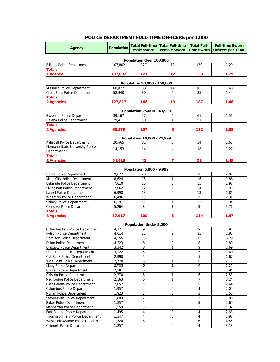# **POLICE DEPARTMENT FULL-TIME OFFICERS per 1,000**

| Agency                                                        | <b>Population</b> | <b>Male Sworn</b>             | <b>Total Full-time   Total Full-time</b><br><b>Female Sworn</b> | <b>Total Full-</b><br>time Sworn | <b>Full-time Sworn</b><br>Officers per 1,000 |  |  |  |
|---------------------------------------------------------------|-------------------|-------------------------------|-----------------------------------------------------------------|----------------------------------|----------------------------------------------|--|--|--|
| Population Over 100,000                                       |                   |                               |                                                                 |                                  |                                              |  |  |  |
| <b>Billings Police Department</b>                             | 107,802           | 127                           | 12                                                              | 139                              | 1.29                                         |  |  |  |
| <b>Totals</b>                                                 |                   |                               |                                                                 |                                  |                                              |  |  |  |
| 1 Agency                                                      | 107,802           | 127                           | 12                                                              | 139                              | 1.29                                         |  |  |  |
|                                                               |                   | Population 50,000 - 100,000   |                                                                 |                                  |                                              |  |  |  |
| Missoula Police Department                                    | 68,877            | 88                            | 14                                                              | 102                              | 1.48                                         |  |  |  |
| <b>Great Falls Police Department</b>                          | 58,940            | 80                            | 5                                                               | 85                               | 1.44                                         |  |  |  |
| <b>Totals</b>                                                 |                   |                               |                                                                 |                                  |                                              |  |  |  |
| 2 Agencies                                                    | 127,817           | 168                           | 19                                                              | 187                              | 1.46                                         |  |  |  |
|                                                               |                   | Population 25,000 - 49,999    |                                                                 |                                  |                                              |  |  |  |
| Bozeman Police Department                                     | 39,167            | 57                            | 4                                                               | 61                               | 1.56                                         |  |  |  |
| Helena Police Department                                      | 29,411            | 50                            | 1                                                               | 51                               | 1.73                                         |  |  |  |
| <b>Totals</b>                                                 |                   |                               |                                                                 |                                  |                                              |  |  |  |
| 2 Agencies                                                    | 68,578            | 107                           | 5                                                               | 112                              | 1.63                                         |  |  |  |
|                                                               |                   | Population 10,000 - 24,999    |                                                                 |                                  |                                              |  |  |  |
| Kalispell Police Department                                   | 20.665            | 31                            | 3                                                               | 34                               | 1.65                                         |  |  |  |
| Montana State University Police                               |                   |                               |                                                                 |                                  |                                              |  |  |  |
| Department *                                                  | 14,153            | 14                            | $\overline{4}$                                                  | 18                               | 1.27                                         |  |  |  |
| <b>Totals</b>                                                 |                   |                               |                                                                 |                                  |                                              |  |  |  |
| 2 Agencies                                                    | 34,818            | 45                            | $\overline{ }$                                                  | 52                               | 1.49                                         |  |  |  |
|                                                               |                   | Population 5,000 - 9,999      |                                                                 |                                  |                                              |  |  |  |
| Havre Police Department                                       | 9,672             | 20                            | $\mathbf 0$                                                     | 20                               | 2.07                                         |  |  |  |
| Miles City Police Department                                  | 8,624             | 15                            | $\mathbf{1}$                                                    | 16                               | 1.86                                         |  |  |  |
| Belgrade Police Department                                    | 7,610             | 15                            | $\mathbf 0$                                                     | 15                               | 1.97                                         |  |  |  |
| Livingston Police Department                                  | 7,062             | 12                            | $\overline{2}$                                                  | 14                               | 1.98                                         |  |  |  |
| Laurel Police Department                                      | 6,998             | 13                            | $\mathbf 0$                                                     | 13                               | 1.86                                         |  |  |  |
| Whitefish Police Department                                   | 6,496             | 15                            | $\mathbf 0$                                                     | 15                               | 2.31                                         |  |  |  |
| Sidney Police Department                                      | 6,191             | 11                            | $\mathbf{1}$                                                    | 12                               | 1.94                                         |  |  |  |
| <b>Glendive Police Department</b>                             | 5,264             | 8                             | $\mathbf{1}$                                                    | 9                                | 1.71                                         |  |  |  |
| <b>Totals</b>                                                 |                   |                               |                                                                 |                                  |                                              |  |  |  |
| 8 Agencies                                                    | 57,917            | 109                           | 5                                                               | 114                              | 1.97                                         |  |  |  |
|                                                               |                   | <b>Population Under 5,000</b> |                                                                 |                                  |                                              |  |  |  |
| Columbia Falls Police Department                              | 4,721             | 9                             | 0                                                               | 9                                | 1.91                                         |  |  |  |
| Polson Police Department<br>Hamilton Police Department        | 4.614             | 11                            | $\overline{2}$<br>0                                             | 13                               | 2.82<br>3.29                                 |  |  |  |
| <b>Dillon Police Department</b>                               | 4,555<br>4,223    | 15<br>8                       | $\mathbf 0$                                                     | 15<br>8                          | 1.89                                         |  |  |  |
| <b>Glasgow Police Department</b>                              | 3,342             | 8                             | 1                                                               | 9                                | 2.69                                         |  |  |  |
| Deer Lodge Police Department                                  | 3,122             | 5                             | $\mathbf 0$                                                     | $\overline{5}$                   | 1.60                                         |  |  |  |
| Cut Bank Police Department                                    | 2,990             | 5                             | 0                                                               | 5                                | 1.67                                         |  |  |  |
| Wolf Point Police Department                                  | 2,770             | 5                             | 1                                                               | 6                                | 2.17                                         |  |  |  |
| <b>Libby Police Department</b>                                | 2,703             | 5                             | 1                                                               | 6                                | 2.22                                         |  |  |  |
| <b>Conrad Police Department</b>                               | 2,581             | 5                             | 0                                                               | 5                                | 1.94                                         |  |  |  |
| <b>Colstrip Police Department</b>                             | 2,370             | 5                             | $\mathbf{1}$                                                    | 6                                | 2.53                                         |  |  |  |
| Red Lodge Police Department                                   | 2,163             | 6                             | $\mathbf{1}$                                                    | 7                                | 3.24                                         |  |  |  |
| East Helena Police Department                                 | 2,052             | 5                             | $\overline{0}$                                                  | 5                                | 2.44                                         |  |  |  |
| Columbus Police Department                                    | 1,957             | $\overline{4}$                | $\boldsymbol{0}$                                                | 4                                | 2.04                                         |  |  |  |
| Ronan Police Department                                       | 1,923             | 3                             | 0                                                               | 3                                | 1.56                                         |  |  |  |
| Stevensville Police Department                                | 1,883             | $\overline{2}$<br>5           | $\boldsymbol{0}$<br>$\mathbf 0$                                 | $\overline{2}$<br>5              | 1.06                                         |  |  |  |
| <b>Baker Police Department</b><br>Manhattan Police Department | 1,857<br>1,559    | 3                             | 0                                                               | 3                                | 2.69<br>1.92                                 |  |  |  |
| Fort Benton Police Department                                 | 1,495             | 4                             | 0                                                               | 4                                | 2.68                                         |  |  |  |
| Thompson Falls Police Department                              | 1,347             | 4                             | $\mathbf 0$                                                     | $\overline{4}$                   | 2.97                                         |  |  |  |
| West Yellowstone Police Department                            | 1,320             | 6                             | 0                                                               | 6                                | 4.55                                         |  |  |  |
| Chinook Police Department                                     | 1,257             | 4                             | $\mathbf 0$                                                     | $\overline{4}$                   | 3.18                                         |  |  |  |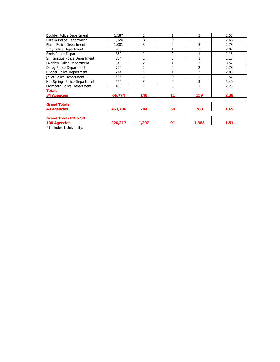| Boulder Police Department         | 1.187   | $\overline{2}$ |    | 3              | 2.53 |
|-----------------------------------|---------|----------------|----|----------------|------|
| Eureka Police Department          | 1,120   | 3              | 0  | 3              | 2.68 |
| Plains Police Department          | 1,081   | 3              | 0  | 3              | 2.78 |
| <b>Troy Police Department</b>     | 966     |                |    | $\mathfrak{p}$ | 2.07 |
| <b>Ennis Police Department</b>    | 859     |                | 0  |                | 1.16 |
| St. Ignatius Police Department    | 854     |                | 0  |                | 1.17 |
| <b>Fairview Police Department</b> | 840     | $\overline{2}$ |    | 3              | 3.57 |
| Darby Police Department           | 720     | $\overline{2}$ | 0  | $\overline{2}$ | 2.78 |
| <b>Bridger Police Department</b>  | 714     | 1              |    | $\overline{2}$ | 2.80 |
| Joliet Police Department          | 635     |                | 0  |                | 1.57 |
| Hot Springs Police Department     | 556     | 3              | 0  | 3              | 5.40 |
| Fromberg Police Department        | 438     | 1              | 0  | 1              | 2.28 |
| <b>Totals</b>                     |         |                |    |                |      |
| <b>34 Agencies</b>                | 66,774  | 148            | 11 | 159            | 2.38 |
| <b>Grand Totals</b>               |         |                |    |                |      |
| <b>49 Agencies</b>                | 463,706 | 704            | 59 | 763            | 1.65 |
| <b>Grand Totals PD &amp; SO</b>   |         |                |    |                |      |
| 100 Agencies                      | 920,217 | 1,297          | 91 | 1,388          | 1.51 |
| *Includes 1 University.           |         |                |    |                |      |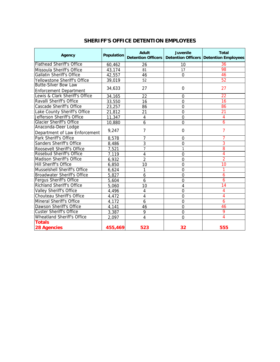| <b>Agency</b>                                                | <b>Population</b> | <b>Adult</b>   | <b>Juvenile</b> | <b>Total</b><br>Detention Officers   Detention Officers   Detention Employees |
|--------------------------------------------------------------|-------------------|----------------|-----------------|-------------------------------------------------------------------------------|
| <b>Flathead Sheriff's Office</b>                             | 60,462            | 26             | 10              | 36                                                                            |
| Missoula Sheriff's Office                                    | 43,174            | 81             | 17              | 98                                                                            |
| <b>Gallatin Sheriff's Office</b>                             | 42,557            | 46             | $\mathbf 0$     | 46                                                                            |
| Yellowstone Sheriff's Office                                 | 39,019            | 52             |                 | 52                                                                            |
| <b>Butte-Silver Bow Law</b><br><b>Enforcement Department</b> | 34,633            | 27             | $\Omega$        | 27                                                                            |
| Lewis & Clark Sheriff's Office                               | 34,165            | 22             | $\Omega$        | $\overline{22}$                                                               |
| Ravalli Sheriff's Office                                     | 33,550            | 16             | $\mathbf 0$     | $\overline{16}$                                                               |
| <b>Cascade Sheriff's Office</b>                              | 23,257            | 86             | $\overline{0}$  | 86                                                                            |
| Lake County Sheriff's Office                                 | 21,812            | 21             | $\overline{0}$  | $\overline{21}$                                                               |
| Jefferson Sheriff's Office                                   | 11,347            | 4              | $\Omega$        | 4                                                                             |
| <b>Glacier Sheriff's Office</b>                              | 10,880            | 6              | $\overline{0}$  | 6                                                                             |
| Anaconda-Deer Lodge<br>Department of Law Enforcement         | 9,247             | 7              | $\Omega$        | $\overline{7}$                                                                |
| <b>Park Sheriff's Office</b>                                 | 8,578             | 7              | $\Omega$        |                                                                               |
| <b>Sanders Sheriff's Office</b>                              | 8,486             | 3              | $\mathbf 0$     | 3                                                                             |
| Roosevelt Sheriff's Office                                   | 7,521             | $\overline{7}$ | 1               | 8                                                                             |
| Rosebud Sheriff's Office                                     | 7,119             | 4              | $\Omega$        | 4                                                                             |
| Madison Sheriff's Office                                     | 6,932             | $\overline{2}$ | $\mathbf 0$     | $\overline{2}$                                                                |
| Hill Sheriff's Office                                        | 6,850             | 10             | $\overline{0}$  | $\overline{10}$                                                               |
| Musselshell Sheriff's Office                                 | 6,624             | 1              | $\mathbf 0$     | 1                                                                             |
| <b>Broadwater Sheriff's Office</b>                           | 5,827             | 6              | $\overline{0}$  | 6                                                                             |
| Fergus Sheriff's Office                                      | 5,604             | 6              | $\mathbf 0$     | $\overline{6}$                                                                |
| <b>Richland Sheriff's Office</b>                             | 5,060             | 10             | 4               | 14                                                                            |
| <b>Valley Sheriff's Office</b>                               | 4,496             | 4              | $\overline{0}$  | 4                                                                             |
| Chouteau Sheriff's Office                                    | 4,472             | 4              | $\overline{0}$  | 4                                                                             |
| <b>Mineral Sheriff's Office</b>                              | 4,172             | 6              | $\mathbf 0$     | 6                                                                             |
| Dawson Sheriff's Office                                      | 4,141             | 46             | $\overline{0}$  | 46                                                                            |
| <b>Custer Sheriff's Office</b>                               | 3,387             | 9              | $\mathbf 0$     | 9                                                                             |
| <b>Wheatland Sheriff's Office</b>                            | 2,097             | 4              | $\overline{0}$  | 4                                                                             |
| <b>Totals</b><br><b>28 Agencies</b>                          | 455,469           | 523            | 32              | 555                                                                           |

# **SHERIFF'S OFFICE DETENTION EMPLOYEES**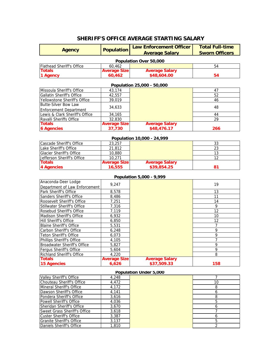# **SHERIFF'S OFFICE AVERAGE STARTING SALARY**

| <b>Agency</b>                                                   | <b>Population</b>            | <b>Law Enforcement Officer</b> | <b>Total Full-time</b> |  |  |
|-----------------------------------------------------------------|------------------------------|--------------------------------|------------------------|--|--|
|                                                                 |                              | <b>Average Salary</b>          | <b>Sworn Officers</b>  |  |  |
|                                                                 |                              | Population Over 50,000         |                        |  |  |
| <b>Flathead Sheriff's Office</b>                                | 60,462                       |                                | 54                     |  |  |
| <b>Totals</b>                                                   | <b>Average Size</b>          | <b>Average Salary</b>          |                        |  |  |
| 1 Agency                                                        | 60,462                       | \$48,604.00                    | 54                     |  |  |
| Population 25,000 - 50,000                                      |                              |                                |                        |  |  |
| Missoula Sheriff's Office                                       | 43,174                       |                                | 47                     |  |  |
| Gallatin Sheriff's Office                                       | 42,557                       |                                | 52                     |  |  |
| Yellowstone Sheriff's Office                                    | 39,019                       |                                | 46                     |  |  |
| <b>Butte-Silver Bow Law</b>                                     |                              |                                |                        |  |  |
| <b>Enforcement Department</b>                                   | 34,633                       |                                | 48                     |  |  |
| Lewis & Clark Sheriff's Office                                  | 34,165                       |                                | 44                     |  |  |
| Ravalli Sheriffs Office                                         | 32,830                       |                                | 29                     |  |  |
| <b>Totals</b>                                                   | <b>Average Size</b>          | <b>Average Salary</b>          |                        |  |  |
| <b>6 Agencies</b>                                               | 37,730                       | \$48,476.17                    | 266                    |  |  |
|                                                                 |                              | Population 10,000 - 24,999     |                        |  |  |
| Cascade Sheriff's Office                                        | 23,257                       |                                | 33                     |  |  |
| Lake Sheriff's Office                                           | 21,812                       |                                | 23                     |  |  |
| <b>Glacier Sheriff's Office</b>                                 | 10,880                       |                                | 13                     |  |  |
| Jefferson Sheriff's Office                                      | 10,271                       |                                | 12                     |  |  |
| <b>Totals</b>                                                   | <b>Average Size</b>          | <b>Average Salary</b>          |                        |  |  |
| <b>4 Agencies</b>                                               | 16,555                       | \$39,854.25                    | 81                     |  |  |
|                                                                 |                              |                                |                        |  |  |
|                                                                 |                              | Population 5,000 - 9,999       |                        |  |  |
| Anaconda-Deer Lodge                                             | 9,247                        |                                | 19                     |  |  |
| Department of Law Enforcement<br>Park Sheriff's Office          | 8,578                        |                                | $\overline{13}$        |  |  |
| Sanders Sheriff's Office                                        | 8,486                        |                                | 11                     |  |  |
| Roosevelt Sheriff's Office                                      | 7,251                        |                                | 14                     |  |  |
| Stillwater Sheriff's Office                                     | 7,316                        |                                | 9                      |  |  |
| Rosebud Sheriff's Office                                        | 7,119                        |                                | $\overline{12}$        |  |  |
| Madison Sheriff's Office                                        | 6,932                        |                                | 10                     |  |  |
| <b>Hill Sheriff's Office</b>                                    | 6,850                        |                                | 12                     |  |  |
| <b>Blaine Sheriff's Office</b>                                  | 5,531                        |                                | $\overline{7}$         |  |  |
| Carbon Sheriff's Office                                         | 6,248                        |                                | $\overline{9}$         |  |  |
| <b>Teton Sheriff's Office</b>                                   | 6,073                        |                                | 9                      |  |  |
|                                                                 |                              |                                | 7                      |  |  |
| Phillips Sheriff's Office<br><b>Broadwater Sheriff's Office</b> | 4,105<br>5,827               |                                | $\overline{9}$         |  |  |
|                                                                 |                              |                                | $\overline{9}$         |  |  |
| Fergus Sheriff's Office                                         | 5,604                        |                                |                        |  |  |
| <b>Richland Sheriff's Office</b><br><b>Totals</b>               | 4,220<br><b>Average Size</b> | <b>Average Salary</b>          | 8                      |  |  |
| <b>15 Agencies</b>                                              | 6,626                        | \$37,509.33                    | 158                    |  |  |
|                                                                 |                              |                                |                        |  |  |

### **Population Under 5,000**

| Valley Sheriff's Office             | 4,248 |    |
|-------------------------------------|-------|----|
| Chouteau Sheriff's Office           | 4.472 | 10 |
| Mineral Sheriff's Office            | 4,172 | 8  |
| Dawson Sheriff's Office             | 4,141 | 6  |
| IPondera Sheriff's Office           | 3.616 | 8  |
| lPowell Sheriff's Office            | 4.036 | 5  |
| Sheridan Sheriff's Office           | 3.670 | 6  |
| <b>Sweet Grass Sheriff's Office</b> | 3.618 |    |
| Custer Sheriff's Office             | 3.387 | 6  |
| Granite Sheriff's Office            | 3.137 | 5  |
| lDaniels Sheriff's Office           | 1.810 |    |

| 7              |
|----------------|
| 10             |
| 8              |
| $\overline{6}$ |
| $\overline{8}$ |
| $\overline{5}$ |
| $\overline{6}$ |
| $\overline{7}$ |
| 6              |
| $\overline{5}$ |
| $\overline{2}$ |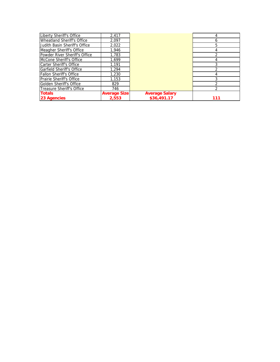| Liberty Sheriff's Office         | 2,417               |                       |     |
|----------------------------------|---------------------|-----------------------|-----|
| Wheatland Sheriff's Office       | 2.097               |                       | 6   |
| Judith Basin Sheriff's Office    | 2,022               |                       | 5   |
| Meagher Sheriff's Office         | 1.946               |                       |     |
| Powder River Sheriff's Office    | 1,783               |                       |     |
| McCone Sheriff's Office          | 1.699               |                       |     |
| Carter Sheriff's Office          | 1,191               |                       |     |
| <b>Garfield Sheriff's Office</b> | 1.294               |                       |     |
| <b>Fallon Sheriff's Office</b>   | 1.230               |                       |     |
| Prairie Sheriff's Office         | 1.153               |                       |     |
| <b>Golden Sheriff's Office</b>   | 829                 |                       |     |
| Treasure Sheriff's Office        | 746                 |                       |     |
| <b>Totals</b>                    | <b>Average Size</b> | <b>Average Salary</b> |     |
| <b>23 Agencies</b>               | 2.553               | \$36,491.17           | 111 |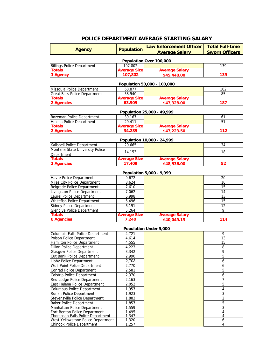# **POLICE DEPARTMENT AVERAGE STARTING SALARY**

| <b>Agency</b>                                                          | <b>Population</b>           | <b>Law Enforcement Officer</b> | <b>Total Full-time</b> |  |  |  |  |
|------------------------------------------------------------------------|-----------------------------|--------------------------------|------------------------|--|--|--|--|
|                                                                        | <b>Average Salary</b>       |                                | <b>Sworn Officers</b>  |  |  |  |  |
| Population Over 100,000                                                |                             |                                |                        |  |  |  |  |
| <b>Billings Police Department</b>                                      | 107,802                     |                                | 139                    |  |  |  |  |
| <b>Totals</b>                                                          | <b>Average Size</b>         | <b>Average Salary</b>          |                        |  |  |  |  |
| 1 Agency                                                               | 107,802                     | \$45,448.00                    | 139                    |  |  |  |  |
|                                                                        | Population 50,000 - 100,000 |                                |                        |  |  |  |  |
| Missoula Police Department                                             | 68,877                      |                                | 102                    |  |  |  |  |
| <b>Great Falls Police Department</b>                                   | 58,940                      |                                | 85                     |  |  |  |  |
| <b>Totals</b>                                                          | <b>Average Size</b>         | <b>Average Salary</b>          |                        |  |  |  |  |
| 2 Agencies                                                             | 63,909                      | \$47,328.00                    | 187                    |  |  |  |  |
|                                                                        |                             |                                |                        |  |  |  |  |
|                                                                        |                             | Population 25,000 - 49,999     |                        |  |  |  |  |
| Bozeman Police Department                                              | 39,167                      |                                | 61                     |  |  |  |  |
| Helena Police Department                                               | 29,411                      |                                | 51                     |  |  |  |  |
| <b>Totals</b>                                                          | <b>Average Size</b>         | <b>Average Salary</b>          |                        |  |  |  |  |
| 2 Agencies                                                             | 34,289                      | \$47,223.50                    | 112                    |  |  |  |  |
|                                                                        |                             | Population 10,000 - 24,999     |                        |  |  |  |  |
| Kalispell Police Department                                            | 20,665                      |                                | 34                     |  |  |  |  |
| Montana State University Police                                        |                             |                                |                        |  |  |  |  |
| Department                                                             | 14,153                      |                                | 18                     |  |  |  |  |
| <b>Totals</b>                                                          | <b>Average Size</b>         | <b>Average Salary</b>          |                        |  |  |  |  |
| 2 Agencies                                                             | 17,409                      | \$48,536.00                    | 52                     |  |  |  |  |
|                                                                        |                             |                                |                        |  |  |  |  |
|                                                                        | 9,672                       | Population 5,000 - 9,999       |                        |  |  |  |  |
| Havre Police Department                                                |                             |                                | 20                     |  |  |  |  |
| Miles City Police Department                                           | 8,624                       |                                | 16                     |  |  |  |  |
| <b>Belgrade Police Department</b>                                      | 7,610                       |                                | 15<br>14               |  |  |  |  |
| <b>Livingston Police Department</b><br>Laurel Police Department        | 7,062<br>6,998              |                                | 13                     |  |  |  |  |
| Whitefish Police Department                                            | 6,496                       |                                | 15                     |  |  |  |  |
| <b>Sidney Police Department</b>                                        | 6,191                       |                                | 12                     |  |  |  |  |
| <b>Glendive Police Department</b>                                      | 5,264                       |                                | 9                      |  |  |  |  |
| <b>Totals</b>                                                          | <b>Average Size</b>         | <b>Average Salary</b>          |                        |  |  |  |  |
| <b>8 Agencies</b>                                                      | 7,240                       | \$40,049.13                    | 114                    |  |  |  |  |
|                                                                        |                             |                                |                        |  |  |  |  |
|                                                                        |                             | Population Under 5,000         |                        |  |  |  |  |
| Columbia Falls Police Department<br>Polson Police Department           | 4,721<br>4,614              |                                | 9<br>13                |  |  |  |  |
| Hamilton Police Department                                             | 4,555                       |                                | 15                     |  |  |  |  |
| <b>Dillon Police Department</b>                                        | 4,223                       |                                | 8                      |  |  |  |  |
| <b>Glasgow Police Department</b>                                       | 3,342                       |                                | 9                      |  |  |  |  |
| Cut Bank Police Department                                             | 2,990                       |                                | $\overline{5}$         |  |  |  |  |
| Libby Police Department                                                | 2,703                       |                                | 6                      |  |  |  |  |
| Wolf Point Police Department                                           | 2,770                       |                                | 6                      |  |  |  |  |
| <b>Conrad Police Department</b>                                        | 2,581                       |                                | 5                      |  |  |  |  |
| <b>Colstrip Police Department</b>                                      | 2,370                       |                                | 6                      |  |  |  |  |
| Red Lodge Police Department                                            | 2,163                       |                                | $\overline{7}$         |  |  |  |  |
| East Helena Police Department                                          | 2,052                       |                                | 5                      |  |  |  |  |
| Columbus Police Department                                             | 1,957                       |                                | 4                      |  |  |  |  |
| Ronan Police Department                                                | 1,923                       |                                | 3                      |  |  |  |  |
| Stevensville Police Department                                         | 1,883                       |                                | 2                      |  |  |  |  |
| <b>Baker Police Department</b>                                         | 1,857                       |                                | 5                      |  |  |  |  |
| Manhattan Police Department                                            | 1,559                       |                                | 3                      |  |  |  |  |
| Fort Benton Police Department                                          | 1,495                       |                                | 4                      |  |  |  |  |
| Thompson Falls Police Department<br>West Yellowstone Police Department | 1,347<br>1,320              |                                | 4<br>6                 |  |  |  |  |
| Chinook Police Department                                              | 1,257                       |                                | 4                      |  |  |  |  |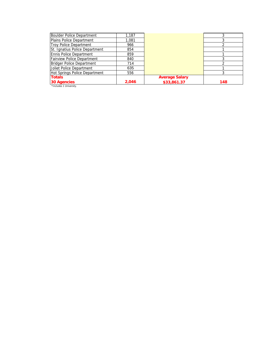| <b>Boulder Police Department</b> | 1,187 |                       |     |
|----------------------------------|-------|-----------------------|-----|
| Plains Police Department         | 1,081 |                       |     |
| <b>Troy Police Department</b>    | 966   |                       |     |
| St. Ignatius Police Department   | 854   |                       |     |
| <b>Ennis Police Department</b>   | 859   |                       |     |
| Fairview Police Department       | 840   |                       |     |
| <b>Bridger Police Department</b> | 714   |                       |     |
| Joliet Police Department         | 635   |                       |     |
| Hot Springs Police Department    | 556   |                       |     |
| <b>Totals</b>                    |       | <b>Average Salary</b> |     |
| 30 Agencies                      | 2,046 | \$33,861.37           | 148 |
| *Includes 1 University.          |       |                       |     |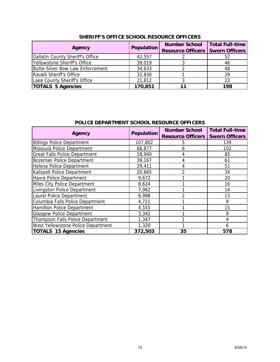| Agency                                  | Population | <b>Number School</b><br><b>Resource Officers   Sworn Officers</b> | <b>Total Full-time</b> |
|-----------------------------------------|------------|-------------------------------------------------------------------|------------------------|
| <b>Gallatin County Sheriff's Office</b> | 42,557     |                                                                   | 52                     |
| Yellowstone Sheriff's Office            | 39,019     |                                                                   | 46                     |
| Butte-Silver Bow Law Enforcement        | 34,633     |                                                                   | 48                     |
| Ravalli Sheriff's Office                | 32,830     |                                                                   | 29                     |
| Lake County Sheriff's Office            | 21,812     |                                                                   | 23                     |
| <b>TOTALS 5 Agencies</b>                | 170,851    |                                                                   | 198                    |

### **SHERIFF'S OFFICE SCHOOL RESOURCE OFFICERS**

## **POLICE DEPARTMENT SCHOOL RESOURCE OFFICERS**

| Agency                               | <b>Population</b> | <b>Number School</b><br><b>Resource Officers</b> | <b>Total Full-time</b><br><b>Sworn Officers</b> |
|--------------------------------------|-------------------|--------------------------------------------------|-------------------------------------------------|
| <b>Billings Police Department</b>    | 107,802           | 5                                                | 139                                             |
| Missoula Police Department           | 68,877            | 6                                                | 102                                             |
| <b>Great Falls Police Department</b> | 58,940            | 4                                                | 85                                              |
| Bozeman Police Department            | 39,167            | 4                                                | 61                                              |
| Helena Police Department             | 29,411            | 4                                                | 51                                              |
| Kalispell Police Department          | 20,665            | 2                                                | 34                                              |
| Havre Police Department              | 9,672             |                                                  | 20                                              |
| Miles City Police Department         | 8,624             |                                                  | 16                                              |
| Livingston Police Department         | 7,062             |                                                  | 14                                              |
| Laurel Police Department             | 6,998             | 2                                                | 13                                              |
| Columbia Falls Police Department     | 4,721             |                                                  | 9                                               |
| Hamilton Police Department           | 4,555             |                                                  | 15                                              |
| <b>Glasgow Police Department</b>     | 3,342             |                                                  | 9                                               |
| Thompson Falls Police Department     | 1,347             |                                                  | 4                                               |
| West Yellowstone Police Department   | 1,320             |                                                  | 6                                               |
| <b>TOTALS 15 Agencies</b>            | 372,503           | 35                                               | 578                                             |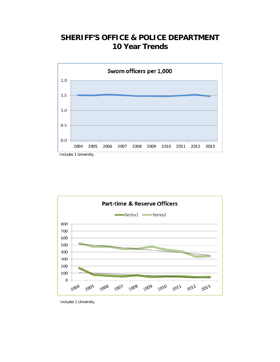# **SHERIFF'S OFFICE & POLICE DEPARTMENT 10 Year Trends**





Includes 1 University.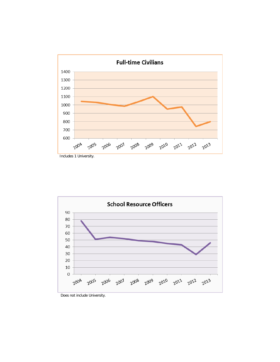





Does not include University.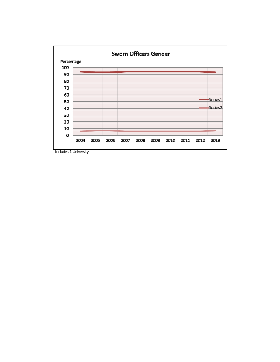

Includes 1 University.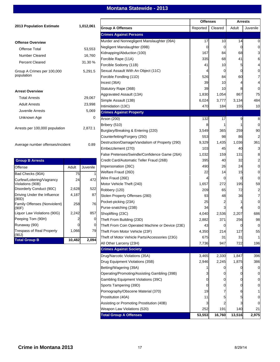# **Montana Statewide - 2013**

|                                              |        |           |                                                  | <b>Offenses</b> |         |                |                | <b>Arrests</b> |  |
|----------------------------------------------|--------|-----------|--------------------------------------------------|-----------------|---------|----------------|----------------|----------------|--|
| <b>2013 Population Estimate</b>              |        | 1,012,061 | <b>Group A Offenses</b>                          | Reported        | Cleared | Adult          | Juvenile       |                |  |
|                                              |        |           | <b>Crimes Against Persons</b>                    |                 |         |                |                |                |  |
| <b>Offense Overview</b>                      |        |           | Murder and Nonnegligent Manslaughter (09A)       | 17              | 10      | 14             |                |                |  |
|                                              |        |           | Negligent Manslaughter (09B)                     | $\Omega$        | 0       | $\Omega$       |                |                |  |
| <b>Offense Total</b>                         |        | 53,553    | Kidnapping/Abduction (100)                       | 167             | 84      | 68             |                |                |  |
| <b>Number Cleared</b>                        |        | 16,760    | Forcible Rape (11A)                              | 335             | 68      | 41             | 6              |                |  |
| <b>Percent Cleared</b>                       |        | 31.30 %   | Forcible Sodomy (11B)                            | 41              | 10      | 5              |                |                |  |
| Group A Crimes per 100,000                   |        | 5,291.5   | Sexual Assault With An Object (11C)              |                 | 0       | 0              |                |                |  |
| population                                   |        |           | Forcible Fondling (11D)                          | 526             | 84      | 60             |                |                |  |
|                                              |        |           | Incest (36A)                                     | 39              | 10      |                |                |                |  |
|                                              |        |           | Statutory Rape (36B)                             | 39              | 10      |                |                |                |  |
| <b>Arrest Overview</b>                       |        |           | Aggravated Assault (13A)                         | 1,830           | 1,054   | 867            | 75             |                |  |
| <b>Total Arrests</b>                         |        | 29,067    | Simple Assault (13B)                             | 6,024           | 3,777   | 3,134          | 484            |                |  |
| <b>Adult Arrests</b>                         |        | 23,998    | Intimidation (13C)                               | 470             | 184     | 155            | 10             |                |  |
| Juvenile Arrests                             |        | 5,069     | <b>Crimes Against Property</b>                   |                 |         |                |                |                |  |
| Unknown Age                                  |        | 0         | Arson (200)                                      | 132             | 17      | 9              | 8              |                |  |
|                                              |        |           | Bribery (510)                                    | 8               |         |                |                |                |  |
| Arrests per 100,000 population               |        | 2,872.1   | Burglary/Breaking & Entering (220)               | 3,549           | 365     | 259            | 90             |                |  |
|                                              |        |           |                                                  |                 |         |                |                |                |  |
|                                              |        |           | Counterfeiting/Forgery (250)                     | 553             | 98      | 86             |                |                |  |
| Average number offenses/incident             |        | 0.89      | Destruction/Damage/Vandalism of Property (290)   | 9,329           | 1,435   | 1,036          | 361            |                |  |
|                                              |        |           | Embezzlement (270)                               | 103             | 45      | 40             |                |                |  |
|                                              |        |           | False Pretenses/Swindle/Confidence Game (26A)    | 1,032           | 159     | 131            | 8              |                |  |
| <b>Group B Arrests</b>                       |        |           | Credit Card/Automatic Teller Fraud (26B)         | 395             | 40      | 32             | 0              |                |  |
| <b>Offense</b>                               | Adult  | Juvenile  | Impersonation (26C)                              | 490             | 26      | 24             |                |                |  |
| Bad Checks (90A)                             | 75     | 1         | Welfare Fraud (26D)                              | 22              | 14      | 15             | $\Omega$       |                |  |
| Curfew/Loitering/Vagrancy                    | 24     | 472       | Wire Fraud (26E)                                 |                 | 0       | 0              | $\Omega$       |                |  |
| Violations (90B)<br>Disorderly Conduct (90C) | 2,628  | 522       | Motor Vehicle Theft (240)                        | 1,657           | 272     | 195            | 59             |                |  |
| Driving Under the Influence                  | 4,187  | 87        | Robbery (120)                                    | 209             | 65      | 72             | $\overline{2}$ |                |  |
| (90D)                                        |        |           | Stolen Property Offenses (280)                   | 93              | 48      | 36             |                |                |  |
| Family Offenses (Nonviolent)                 | 258    | 76        | Pocket-picking (23A)                             | 25              |         |                |                |                |  |
| (90F)                                        |        |           | Purse-snatching (23B)                            | 34              | 3       |                |                |                |  |
| Liquor Law Violations (90G)                  | 2,242  | 857       | Shoplifting (23C)                                | 4,040           | 2,536   | 2,207          | 686            |                |  |
| Peeping Tom (90H)                            |        | 0         | Theft From Building (23D)                        | 2,882           | 371     | 256            | 98             |                |  |
| Runaway (90I)                                | υι     | υ         | Theft From Coin Operated Machine or Device (23E) | 43              | 0       | $\overline{0}$ |                |                |  |
| Trespass of Real Property<br>(90J)           | 1,066  | 79        | Theft From Motor Vehicle (23F)                   | 4,350           | 214     | 127            | 55             |                |  |
| <b>Total Group B</b>                         | 10,482 | 2,094     | Theft of Motor Vehicle Parts/Accessories (23G)   | 675             | 31      | 31             |                |                |  |
|                                              |        |           | All Other Larceny (23H)                          | 7,736           | 947     | 722            | 196            |                |  |
|                                              |        |           | <b>Crimes Against Society</b>                    |                 |         |                |                |                |  |
|                                              |        |           | Drug/Narcotic Violations (35A)                   | 3,465           | 2,330   | 1,847          | 396            |                |  |
|                                              |        |           | Drug Equipment Violations (35B)                  | 2,946           | 2,245   | 1,875          | 386            |                |  |
|                                              |        |           | Betting/Wagering (39A)                           |                 | 0       |                |                |                |  |
|                                              |        |           | Operating/Promoting/Assisting Gambling (39B)     |                 | 0       |                |                |                |  |
|                                              |        |           | Gambling Equipment Violations (39C)              |                 | 0       |                |                |                |  |
|                                              |        |           | Sports Tampering (39D)                           |                 | 0       |                |                |                |  |
|                                              |        |           | Pornography/Obscene Material (370)               | 19              |         |                |                |                |  |
|                                              |        |           | Prostitution (40A)                               | 11              |         |                |                |                |  |
|                                              |        |           | Assisting or Promoting Prostitution (40B)        |                 |         |                |                |                |  |
|                                              |        |           | Weapon Law Violations (520)                      | 252             | 191     | 140            | 21             |                |  |
|                                              |        |           | <b>Total Group A Offenses</b>                    | 53,553          | 16,760  | 13,516         | 2,975          |                |  |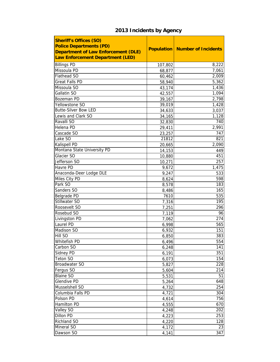| <b>Sheriff's Offices (SO)</b><br><b>Police Departments (PD)</b><br><b>Department of Law Enforcement (DLE)</b><br>Law Enforcement Department (LED) |         | <b>Population   Number of Incidents</b> |
|---------------------------------------------------------------------------------------------------------------------------------------------------|---------|-----------------------------------------|
| <b>Billings PD</b>                                                                                                                                | 107,802 | 8,222                                   |
| Missoula PD                                                                                                                                       | 68,877  | 7,061                                   |
| Flathead SO                                                                                                                                       | 60,462  | 2,009                                   |
| <b>Great Falls PD</b>                                                                                                                             | 58,940  | 5,362                                   |
| Missoula SO                                                                                                                                       | 43,174  | 1,436                                   |
| Gallatin SO                                                                                                                                       | 42,557  | 1,094                                   |
| <b>Bozeman PD</b>                                                                                                                                 | 39,167  | 2,798                                   |
| Yellowstone SO                                                                                                                                    | 39,019  | 1,428                                   |
| <b>Butte-Silver Bow LED</b>                                                                                                                       | 34,633  | 3,037                                   |
| Lewis and Clark SO                                                                                                                                | 34,165  | 1,128                                   |
| Ravalli SO                                                                                                                                        | 32,830  | 740                                     |
| Helena PD                                                                                                                                         | 29,411  | 2,991                                   |
| Cascade SO                                                                                                                                        | 23,257  | 747                                     |
| Lake SO                                                                                                                                           | 21812   | 821                                     |
| Kalispell PD                                                                                                                                      | 20,665  | 2,090                                   |
| Montana State University PD                                                                                                                       | 14,153  | 449                                     |
| Glacier SO                                                                                                                                        | 10,880  | 451                                     |
| Jefferson SO                                                                                                                                      | 10,271  | 257                                     |
| Havre PD                                                                                                                                          | 9,672   | 1,475                                   |
| Anaconda-Deer Lodge DLE                                                                                                                           | 9,247   | 533                                     |
| Miles City PD                                                                                                                                     | 8,624   | 598                                     |
| Park SO                                                                                                                                           | 8,578   | 183                                     |
| Sanders SO                                                                                                                                        | 8,486   | 165                                     |
| Belgrade PD                                                                                                                                       | 7610    | 535                                     |
| Stillwater SO                                                                                                                                     | 7,316   | 195                                     |
| Roosevelt SO                                                                                                                                      | 7,251   | 296                                     |
| Rosebud SO                                                                                                                                        | 7,119   | 96                                      |
| Livingston PD                                                                                                                                     | 7,062   | 274                                     |
| Laurel PD                                                                                                                                         | 6,998   | 565                                     |
| Madison SO                                                                                                                                        | 6,932   | 151                                     |
| Hill SO                                                                                                                                           | 6,850   | 383                                     |
| Whitefish PD                                                                                                                                      | 6,496   | 554                                     |
| Carbon SO                                                                                                                                         | 6,248   | 141                                     |
| Sidney PD                                                                                                                                         | 6,191   | 351                                     |
| Teton SO                                                                                                                                          | 6,073   | 154                                     |
| <b>Broadwater SO</b>                                                                                                                              | 5,827   | 228                                     |
| Fergus SO                                                                                                                                         | 5,604   | 214                                     |
| <b>Blaine SO</b>                                                                                                                                  | 5,531   | 51                                      |
| <b>Glendive PD</b>                                                                                                                                | 5,264   | 648                                     |
| Musselshell SO                                                                                                                                    | 4,732   | 254                                     |
| Columbia Falls PD                                                                                                                                 | 4,721   | 304                                     |
| Polson PD                                                                                                                                         | 4,614   | 756                                     |
| Hamilton PD                                                                                                                                       | 4,555   | 670                                     |
| Valley SO                                                                                                                                         | 4,248   | 202                                     |
| Dillon PD                                                                                                                                         | 4,223   | 253                                     |
| Richland SO                                                                                                                                       | 4,220   | 128                                     |
| Mineral SO                                                                                                                                        | 4,172   | 23                                      |
| Dawson SO                                                                                                                                         | 4,141   | 347                                     |

# **2013 Incidents by Agency**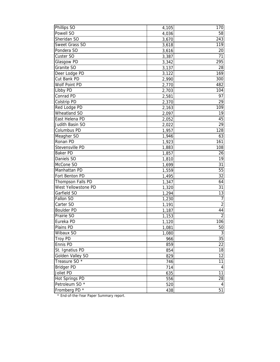| Phillips SO               | 4,105 | 170                     |
|---------------------------|-------|-------------------------|
| Powell SO                 | 4,036 | 58                      |
| Sheridan SO               | 3,670 | 243                     |
| Sweet Grass SO            | 3,618 | 119                     |
| Pondera SO                | 3,616 | 20                      |
| Custer SO                 | 3,387 | 71                      |
| Glasgow PD                | 3,342 | 295                     |
| Granite SO                | 3,137 | 28                      |
| Deer Lodge PD             | 3,122 | 169                     |
| Cut Bank PD               | 2,990 | 300                     |
| Wolf Point PD             | 2,770 | 482                     |
| Libby PD                  | 2,703 | 104                     |
| Conrad PD                 | 2,581 | 97                      |
| Colstrip PD               | 2,370 | 29                      |
| Red Lodge PD              | 2,163 | 109                     |
| Wheatland SO              | 2,097 | 19                      |
| East Helena PD            | 2,052 | 45                      |
| Judith Basin SO           | 2,022 | 29                      |
| Columbus PD               | 1,957 | 128                     |
| Meagher SO                | 1,946 | 63                      |
| Ronan PD                  | 1,923 | 161                     |
| Stevensville PD           | 1,883 | 108                     |
| <b>Baker PD</b>           | 1,857 | 26                      |
| Daniels SO                | 1,810 | 19                      |
| McCone SO                 | 1,699 | 31                      |
| Manhattan PD              | 1,559 | 55                      |
| Fort Benton PD            | 1,495 | 32                      |
| Thompson Falls PD         | 1,347 | 64                      |
| West Yellowstone PD       | 1,320 | 31                      |
| Garfield SO               | 1,294 | 13                      |
| Fallon SO                 | 1,230 | $\overline{7}$          |
| Carter SO                 | 1,191 | $\overline{2}$          |
| <b>Boulder PD</b>         | 1,187 | 44                      |
| Prairie SO                | 1,153 | $\overline{2}$          |
| Eureka PD                 | 1,120 | 106                     |
| Plains PD                 | 1,081 | 50                      |
| Wibaux SO                 | 1,080 | $\sqrt{3}$              |
| <b>Troy PD</b>            | 966   | 35                      |
| Ennis PD                  | 859   | 22                      |
| St. Ignatius PD           | 854   | 18                      |
| Golden Valley SO          | 829   | 12                      |
| Treasure SO <sup>*</sup>  | 746   | 11                      |
| Bridger PD                | 714   | $\overline{\mathbf{4}}$ |
| Joliet PD                 | 635   | 11                      |
| Hot Springs PD            | 556   | 28                      |
| Petroleum SO <sup>*</sup> | 520   | 4                       |
| Fromberg PD *             | 438   | 51                      |

\* End-of-the-Year Paper Summary report.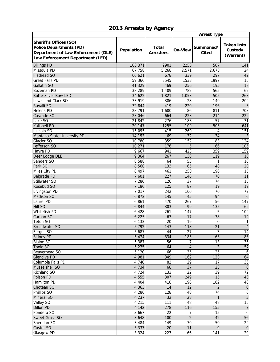# **2013 Arrests by Agency**

|                                                                                                                                            |            |                                  | <b>Arrest Type</b> |                           |                                           |  |  |
|--------------------------------------------------------------------------------------------------------------------------------------------|------------|----------------------------------|--------------------|---------------------------|-------------------------------------------|--|--|
| <b>Sheriff's Offices (SO)</b><br><b>Police Departments (PD)</b><br>Department of Law Enforcement (DLE)<br>Law Enforcement Department (LED) | Population | <b>Total</b><br><b>Arrestees</b> | On-View            | Summoned/<br><b>Cited</b> | <b>Taken Into</b><br>Custody<br>(Warrant) |  |  |
| <b>Billings PD</b>                                                                                                                         | 106,371    | 2901                             | 2253               | 507                       | 141                                       |  |  |
| Missoula PD                                                                                                                                | 67,758     | 5,268                            | 2,571              | 2,673                     | 24                                        |  |  |
| <b>Flathead SO</b>                                                                                                                         | 60,621     | 678                              | 339                | 297                       | 42                                        |  |  |
| <b>Great Falls PD</b>                                                                                                                      | 59,360     | 3545                             | 1533               | 1997                      | 15                                        |  |  |
| Gallatin SO                                                                                                                                | 41,329     | 469                              | 256                | 195                       | 18                                        |  |  |
| Bozeman PD                                                                                                                                 | 38,289     | 1,409                            | 782                | 565                       | 62                                        |  |  |
| <b>Butte-Silver Bow LED</b>                                                                                                                | 34,622     | 1,821                            | 1,053              | 505                       | 263                                       |  |  |
| Lewis and Clark SO                                                                                                                         | 33,919     | 386                              | 28                 | 149                       | 209                                       |  |  |
| Ravalli SO                                                                                                                                 | 32,844     | 419                              | 220                | 196                       |                                           |  |  |
| Helena PD                                                                                                                                  | 28,791     | 1,600                            | 86                 | 811                       | 703                                       |  |  |
| Cascade SO                                                                                                                                 | 23,046     | 664                              | 228                | 214                       | 222                                       |  |  |
| Lake SO                                                                                                                                    | 21,842     | 276                              | 188                | 57                        | 31                                        |  |  |
| Kalispell PD                                                                                                                               | 20,147     | 1255                             | 109                | 505                       | 641                                       |  |  |
| Lincoln SO                                                                                                                                 | 15,095     | 415                              | 260                | 4                         | 151                                       |  |  |
| Montana State University PD                                                                                                                | 14,153     | 69                               | 32                 | 34                        |                                           |  |  |
| Glacier SO                                                                                                                                 | 10,780     | 359                              | 152                | 83                        | 124                                       |  |  |
| Jefferson SO                                                                                                                               | 10,271     | 176                              | 5                  | 66                        | 105                                       |  |  |
| Havre PD                                                                                                                                   | 9,667      | 941                              | 423                | 359                       | 159                                       |  |  |
| Deer Lodge DLE                                                                                                                             | 9,364      | 267                              | 138                | 119                       | 10                                        |  |  |
| Sanders SO                                                                                                                                 | 8,588      | 64                               | 53                 |                           | $\overline{10}$                           |  |  |
| Park SO                                                                                                                                    | 8,560      | 133                              | 65                 | 48                        | 20                                        |  |  |
| Miles City PD                                                                                                                              | 8,497      | 461                              | 250                | 196                       | 15                                        |  |  |
| <b>Belgrade PD</b>                                                                                                                         | 7,601      | 227                              | 146                | 70                        | 11                                        |  |  |
| Stillwater SO                                                                                                                              | 7,286      | 126                              | 37                 | 74                        | 15                                        |  |  |
| Rosebud SO                                                                                                                                 | 7,180      | 125                              | 87                 | 19                        | 19                                        |  |  |
| Livingston PD                                                                                                                              | 7,017      | 242                              | 100                | 70                        | $\overline{72}$                           |  |  |
| Madison SO                                                                                                                                 | 6,872      | 145                              | 45                 | 94                        | 6                                         |  |  |
| Laurel PD                                                                                                                                  | 6,861      | 470                              | 267                | 56                        | 147                                       |  |  |
| Hill SO                                                                                                                                    | 6,844      | 303                              | 99                 | 135                       | 69                                        |  |  |
| Whitefish PD                                                                                                                               | 6,428      | 261                              | 147                | 5                         | 109                                       |  |  |
| Carbon SO                                                                                                                                  | 6,225      | 67                               | 17                 | $\overline{38}$           | $\overline{12}$                           |  |  |
| Teton SO                                                                                                                                   | 6,133      | 20                               | 19                 | $\mathbf 0$               | $\mathbf{1}$                              |  |  |
| <b>Broadwater SO</b>                                                                                                                       | 5,792      | 143                              | 118                | 21                        | $\overline{4}$                            |  |  |
| Fergus SO                                                                                                                                  | 5,687      | 44                               | 27                 | 3                         | $\overline{14}$                           |  |  |
| <b>Sidney PD</b>                                                                                                                           | 5,474      | 334                              | 185                | 63                        | 86                                        |  |  |
| <b>Blaine SO</b>                                                                                                                           | 5,387      | 56                               | 7                  | 13                        | 36                                        |  |  |
| Toole SO                                                                                                                                   | 5,275      | 64                               | 4                  | 3                         | 57                                        |  |  |
| Beaverhead SO                                                                                                                              | 5,120      | 66                               | $\overline{35}$    | $\overline{25}$           | $\boldsymbol{6}$                          |  |  |
| <b>Glendive PD</b>                                                                                                                         | 4,981      | 349                              | 162                | 123                       | 64                                        |  |  |
| Columbia Falls PD                                                                                                                          | 4,740      | 82                               | 29                 | 17                        | 36                                        |  |  |
| Musselshell SO                                                                                                                             | 4,734      | 68                               | $\overline{37}$    | $\overline{23}$           | $\boldsymbol{8}$                          |  |  |
| Richland SO                                                                                                                                | 4,724      | 133                              | 22                 | 39                        | 72                                        |  |  |
| Polson PD                                                                                                                                  | 4,555      | 307                              | 249                | 15                        | 43                                        |  |  |
| Hamilton PD                                                                                                                                | 4,404      | 418                              | 196                | 182                       | 40                                        |  |  |
| Choteau SO                                                                                                                                 | 4,363      | 14                               | 12                 | $\overline{2}$            | $\mathbf 0$                               |  |  |
| Phillips SO                                                                                                                                | 4,280      | 128                              | 48                 | 74                        | $\overline{6}$                            |  |  |
| Mineral SO                                                                                                                                 | 4,237      | 32                               | 28                 |                           | $\overline{3}$                            |  |  |
| Valley SO                                                                                                                                  | 4,215      | 111                              | 48                 | 48                        | 15                                        |  |  |
| <b>Dillon PD</b>                                                                                                                           | 4,142      | 278                              | 116                | 155                       | $\overline{7}$                            |  |  |
| Pondera SO                                                                                                                                 | 3,667      | 22                               | $\overline{7}$     | 15                        | $\overline{0}$                            |  |  |
| Sweet Grass SO                                                                                                                             | 3,648      | 100                              | $\overline{c}$     | 42                        | 56                                        |  |  |
| Sheridan SO                                                                                                                                | 3,484      | 149                              | 70                 | 50                        | $\overline{29}$                           |  |  |
| Custer SO                                                                                                                                  | 3,337      | 20                               | 11                 | 9                         | $\overline{0}$                            |  |  |
| Glasgow PD                                                                                                                                 | 3,324      | 227                              | 66                 | 141                       | 20                                        |  |  |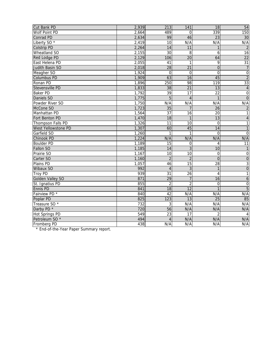| Cut Bank PD               | 2,939 | 213             | 141             | 18              | 54                      |
|---------------------------|-------|-----------------|-----------------|-----------------|-------------------------|
| Wolf Point PD             | 2,664 | 489             | $\Omega$        | 339             | 150                     |
| Conrad PD                 | 2,634 | 99              | 46              | $\overline{23}$ | $\overline{30}$         |
| Liberty SO <sup>*</sup>   | 2,419 | $\overline{10}$ | N/A             | N/A             | N/A                     |
| <b>Colstrip PD</b>        | 2,264 | $\overline{14}$ | 11              | 1               | $\overline{2}$          |
| Wheatland SO              | 2,155 | 30              | 8               | 6               | 16                      |
| Red Lodge PD              | 2,129 | 106             | $\overline{20}$ | 64              | $\overline{22}$         |
| East Helena PD            | 2,055 | 41              | $\mathbf{1}$    | 9               | $\overline{31}$         |
| Judith Basin SO           | 2,018 | $\overline{28}$ | 21              | $\mathbf 0$     | $\overline{7}$          |
| Meagher SO                | 1,924 | $\Omega$        | $\mathbf 0$     | $\mathbf 0$     | $\overline{0}$          |
| <b>Columbus PD</b>        | 1,909 | 63              | 16              | 45              | $\overline{2}$          |
| Ronan PD                  | 1,896 | 250             | 98              | 119             | 33                      |
| Stevensville PD           | 1,833 | 38              | 21              | 13              | $\overline{4}$          |
| <b>Baker PD</b>           | 1,792 | $\overline{39}$ | 17              | 22              | $\overline{0}$          |
| Daniels SO                | 1,775 | $\overline{5}$  | $\overline{4}$  |                 | $\overline{0}$          |
| Powder River SO           | 1,750 | N/A             | N/A             | N/A             | N/A                     |
| McCone SO                 | 1,723 | $\overline{35}$ | 7               | $\overline{26}$ | $\overline{2}$          |
| Manhattan PD              | 1,564 | $\overline{37}$ | 16              | 20              | 1                       |
| Fort Benton PD            | 1,470 | $\overline{18}$ | $\mathbf{1}$    | 13              | $\overline{\mathbf{r}}$ |
| Thompson Falls PD         | 1,326 | 11              | 10              | $\Omega$        | 1                       |
| West Yellowstone PD       | 1,307 | 60              | 45              | 14              | $\mathbf{1}$            |
| Garfield SO               | 1,260 | 1               | $\mathbf{1}$    | $\Omega$        | $\Omega$                |
| Chinook PD                | 1,224 | N/A             | N/A             | N/A             | N/A                     |
| <b>Boulder PD</b>         | 1,189 | $\overline{15}$ | $\mathbf 0$     | 4               | 11                      |
| Fallon SO                 | 1,185 | 14              | 3               | 10              | 1                       |
| Prairie SO                | 1,167 | $\overline{10}$ | $\overline{10}$ | $\mathbf 0$     | $\overline{0}$          |
| Carter SO                 | 1,160 | $\overline{2}$  | $\overline{2}$  | $\overline{0}$  | $\overline{0}$          |
| Plains PD                 | 1,057 | 46              | 15              | 28              | $\overline{3}$          |
| Wibaux SO                 | 992   | $\overline{4}$  | 3               | 1               | $\overline{0}$          |
| <b>Troy PD</b>            | 939   | $\overline{31}$ | $\overline{26}$ | 4               | $\overline{1}$          |
| Golden Valley SO          | 871   | 29              | $\overline{7}$  | 16              | $\overline{6}$          |
| St. Ignatius PD           | 855   | $\overline{2}$  | $\overline{2}$  | $\mathbf 0$     | $\overline{0}$          |
| Ennis PD                  | 841   | 18              | $\overline{12}$ |                 | $\overline{5}$          |
| Fairview PD *             | 840   | 42              | N/A             | N/A             | N/A                     |
| Poplar PD                 | 825   | 123             | $\overline{13}$ | $\overline{25}$ | 85                      |
| Treasure SO <sup>*</sup>  | 732   | 3               | N/A             | N/A             | N/A                     |
| Darby PD <sup>*</sup>     | 720   | $\overline{56}$ | N/A             | N/A             | N/A                     |
| <b>Hot Springs PD</b>     | 549   | $\overline{23}$ | 17              | $\overline{2}$  | 4                       |
| Petroleum SO <sup>*</sup> | 494   | 4               | N/A             | N/A             | N/A                     |
| Fromberg PD               | 438   | N/A             | N/A             | N/A             | N/A                     |

\* End-of-the-Year Paper Summary report.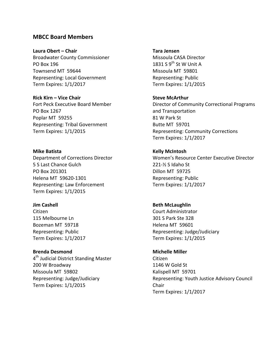### **MBCC Board Members**

**Laura Obert – Chair Tara Jensen**  Broadwater County Commissioner Missoula CASA Director PO Box 196 1831 S  $9^{th}$  St W Unit A Townsend MT 59644 Missoula MT 59801 Representing: Local Government Representing: Public Term Expires: 1/1/2017 Term Expires: 1/1/2015

**Rick Kirn – Vice Chair Steve McArthur** Fort Peck Executive Board Member PO Box 1267 Poplar MT 59255 81 W Park St Representing: Tribal Government Butte MT 59701

**Mike Batista Kelly McIntosh** 5 S Last Chance Gulch 221‐½ S Idaho St PO Box 201301 Dillon MT 59725 Helena MT 59620-1301 Representing: Public Representing: Law Enforcement Term Expires: 1/1/2017 Term Expires: 1/1/2015

**Jim** Cashell **Beth** McLaughlin Citizen Court Administrator 115 Melbourne Ln 301 S Park Ste 328 Bozeman MT 59718 **Helena MT 59601** Term Expires: 1/1/2017 Term Expires: 1/1/2015

**Brenda Desmond Michelle Miller**  $4<sup>th</sup>$  Judicial District Standing Master Citizen 200 W Broadway 1146 W Gold St Missoula MT 59802 Kalispell MT 59701 Representing: Judge/Judiciary Term Expires: 1/1/2015

Director of Community Correctional Programs and Transportation Term Expires: 1/1/2015 Representing: Community Corrections Term Expires: 1/1/2017

Department of Corrections Director Women's Resource Center Executive Director

Representing: Public 
Representing: Version Contract Public Contract Public Public Public Public Public Public Pu

Representing: Youth Justice Advisory Council Chair Term Expires: 1/1/2017